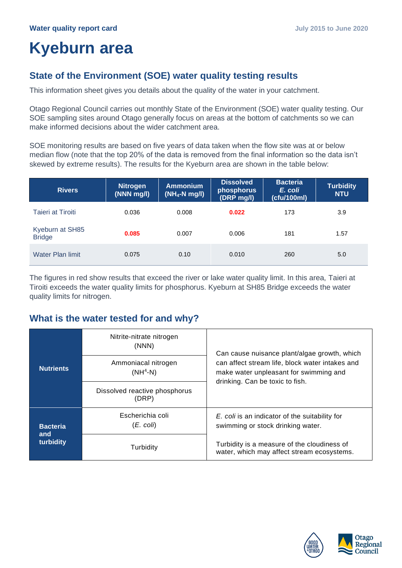# **Kyeburn area**

## **State of the Environment (SOE) water quality testing results**

This information sheet gives you details about the quality of the water in your catchment.

Otago Regional Council carries out monthly State of the Environment (SOE) water quality testing. Our SOE sampling sites around Otago generally focus on areas at the bottom of catchments so we can make informed decisions about the wider catchment area.

SOE monitoring results are based on five years of data taken when the flow site was at or below median flow (note that the top 20% of the data is removed from the final information so the data isn't skewed by extreme results). The results for the Kyeburn area are shown in the table below:

| <b>Rivers</b>                    | <b>Nitrogen</b><br>$(NNN$ mg/l) | <b>Ammonium</b><br>$(NH_4-N mg/l)$ | <b>Dissolved</b><br>phosphorus<br>(DRP mg/l) | <b>Bacteria</b><br>E. coli<br>(cfu/100ml) | <b>Turbidity</b><br><b>NTU</b> |
|----------------------------------|---------------------------------|------------------------------------|----------------------------------------------|-------------------------------------------|--------------------------------|
| Taieri at Tiroiti                | 0.036                           | 0.008                              | 0.022                                        | 173                                       | 3.9                            |
| Kyeburn at SH85<br><b>Bridge</b> | 0.085                           | 0.007                              | 0.006                                        | 181                                       | 1.57                           |
| Water Plan limit                 | 0.075                           | 0.10                               | 0.010                                        | 260                                       | 5.0                            |

The figures in red show results that exceed the river or lake water quality limit. In this area, Taieri at Tiroiti exceeds the water quality limits for phosphorus. Kyeburn at SH85 Bridge exceeds the water quality limits for nitrogen.

### **What is the water tested for and why?**

|                        | Nitrite-nitrate nitrogen<br>(NNN)      | Can cause nuisance plant/algae growth, which<br>can affect stream life, block water intakes and<br>make water unpleasant for swimming and<br>drinking. Can be toxic to fish. |  |
|------------------------|----------------------------------------|------------------------------------------------------------------------------------------------------------------------------------------------------------------------------|--|
| <b>Nutrients</b>       | Ammoniacal nitrogen<br>$(NH4-N)$       |                                                                                                                                                                              |  |
|                        | Dissolved reactive phosphorus<br>(DRP) |                                                                                                                                                                              |  |
| <b>Bacteria</b><br>and | Escherichia coli<br>(E. coli)          | E. coli is an indicator of the suitability for<br>swimming or stock drinking water.                                                                                          |  |
| turbidity              | Turbidity                              | Turbidity is a measure of the cloudiness of<br>water, which may affect stream ecosystems.                                                                                    |  |